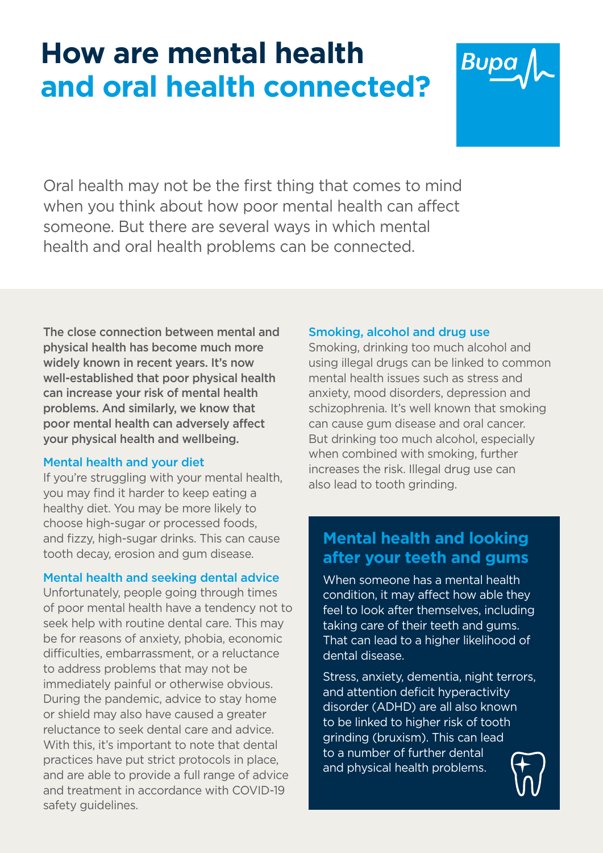# **How are mental health Bupe and oral health connected?**



Oral health may not be the first thing that comes to mind when you think about how poor mental health can affect someone. But there are several ways in which mental health and oral health problems can be connected.

The close connection between mental and physical health has become much more widely known in recent years. It's now well-established that poor physical health can increase your risk of mental health problems. And similarly, we know that poor mental health can adversely affect your physical health and wellbeing.

# Mental health and your diet

If you're struggling with your mental health, you may find it harder to keep eating a healthy diet. You may be more likely to choose high-sugar or processed foods, and fizzy, high-sugar drinks. This can cause tooth decay, erosion and gum disease.

# Mental health and seeking dental advice

Unfortunately, people going through times of poor mental health have a tendency not to seek help with routine dental care. This may be for reasons of anxiety, phobia, economic difficulties, embarrassment, or a reluctance to address problems that may not be immediately painful or otherwise obvious. During the pandemic, advice to stay home or shield may also have caused a greater reluctance to seek dental care and advice. With this, it's important to note that dental practices have put strict protocols in place, and are able to provide a full range of advice and treatment in accordance with COVID-19 safety guidelines.

# Smoking, alcohol and drug use

Smoking, drinking too much alcohol and using illegal drugs can be linked to common mental health issues such as stress and anxiety, mood disorders, depression and schizophrenia. It's well known that smoking can cause gum disease and oral cancer. But drinking too much alcohol, especially when combined with smoking, further increases the risk. Illegal drug use can also lead to tooth grinding.

# **Mental health and looking after your teeth and gums**

When someone has a mental health condition, it may affect how able they feel to look after themselves, including taking care of their teeth and gums. That can lead to a higher likelihood of dental disease.

Stress, anxiety, dementia, night terrors, and attention deficit hyperactivity disorder (ADHD) are all also known to be linked to higher risk of tooth grinding (bruxism). This can lead to a number of further dental and physical health problems.